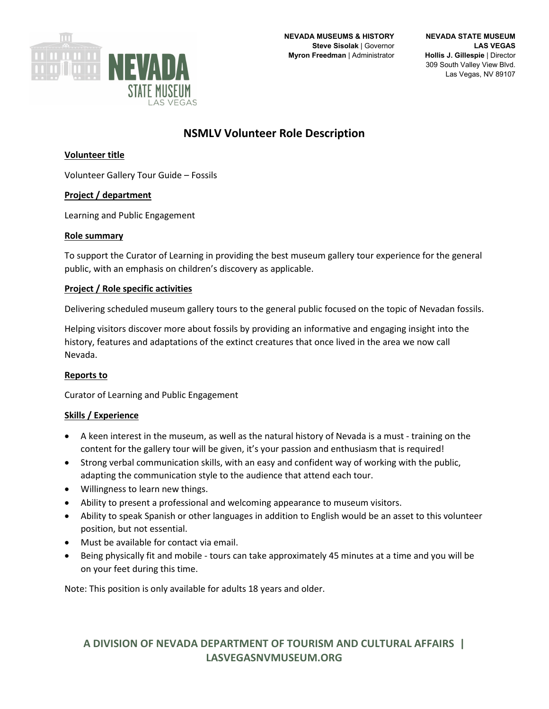

# **NSMLV Volunteer Role Description**

### **Volunteer title**

Volunteer Gallery Tour Guide – Fossils

#### **Project / department**

Learning and Public Engagement

#### **Role summary**

To support the Curator of Learning in providing the best museum gallery tour experience for the general public, with an emphasis on children's discovery as applicable.

#### **Project / Role specific activities**

Delivering scheduled museum gallery tours to the general public focused on the topic of Nevadan fossils.

Helping visitors discover more about fossils by providing an informative and engaging insight into the history, features and adaptations of the extinct creatures that once lived in the area we now call Nevada.

#### **Reports to**

Curator of Learning and Public Engagement

#### **Skills / Experience**

- A keen interest in the museum, as well as the natural history of Nevada is a must training on the content for the gallery tour will be given, it's your passion and enthusiasm that is required!
- Strong verbal communication skills, with an easy and confident way of working with the public, adapting the communication style to the audience that attend each tour.
- Willingness to learn new things.
- Ability to present a professional and welcoming appearance to museum visitors.
- Ability to speak Spanish or other languages in addition to English would be an asset to this volunteer position, but not essential.
- Must be available for contact via email.
- Being physically fit and mobile tours can take approximately 45 minutes at a time and you will be on your feet during this time.

Note: This position is only available for adults 18 years and older.

## **A DIVISION OF NEVADA DEPARTMENT OF TOURISM AND CULTURAL AFFAIRS | LASVEGASNVMUSEUM.ORG**